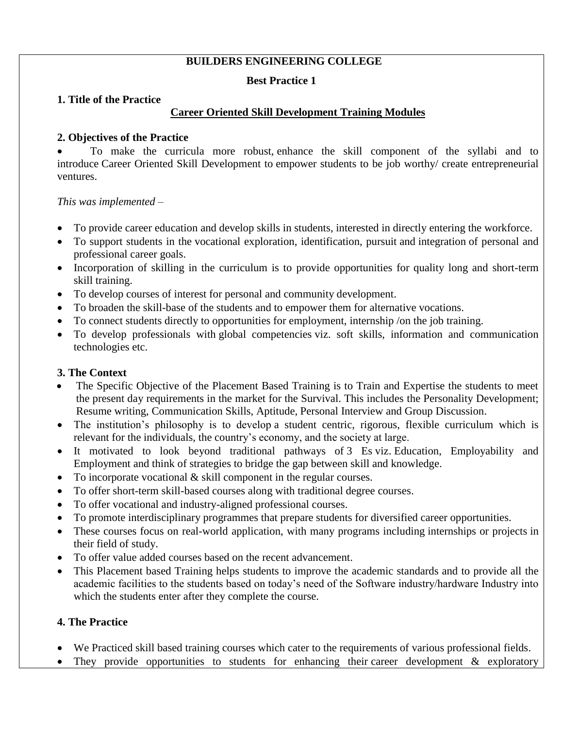# **BUILDERS ENGINEERING COLLEGE**

### **Best Practice 1**

### **1. Title of the Practice**

#### **Career Oriented Skill Development Training Modules**

#### **2. Objectives of the Practice**

 To make the curricula more robust, enhance the skill component of the syllabi and to introduce Career Oriented Skill Development to empower students to be job worthy/ create entrepreneurial ventures.

#### *This was implemented –*

- To provide career education and develop skills in students, interested in directly entering the workforce.
- To support students in the vocational exploration, identification, pursuit and integration of personal and professional career goals.
- Incorporation of skilling in the curriculum is to provide opportunities for quality long and short-term skill training.
- To develop courses of interest for personal and community development.
- To broaden the skill-base of the students and to empower them for alternative vocations.
- To connect students directly to opportunities for employment, internship /on the job training.
- To develop professionals with global competencies viz. soft skills, information and communication technologies etc.

### **3. The Context**

- The Specific Objective of the Placement Based Training is to Train and Expertise the students to meet the present day requirements in the market for the Survival. This includes the Personality Development; Resume writing, Communication Skills, Aptitude, Personal Interview and Group Discussion.
- The institution's philosophy is to develop a student centric, rigorous, flexible curriculum which is relevant for the individuals, the country's economy, and the society at large.
- It motivated to look beyond traditional pathways of 3 Es viz. Education, Employability and Employment and think of strategies to bridge the gap between skill and knowledge.
- To incorporate vocational & skill component in the regular courses.
- To offer short-term skill-based courses along with traditional degree courses.
- To offer vocational and industry-aligned professional courses.
- To promote interdisciplinary programmes that prepare students for diversified career opportunities.
- These courses focus on real-world application, with many programs including internships or projects in their field of study.
- To offer value added courses based on the recent advancement.
- This Placement based Training helps students to improve the academic standards and to provide all the academic facilities to the students based on today's need of the Software industry/hardware Industry into which the students enter after they complete the course.

### **4. The Practice**

- We Practiced skill based training courses which cater to the requirements of various professional fields.
- They provide opportunities to students for enhancing their career development & exploratory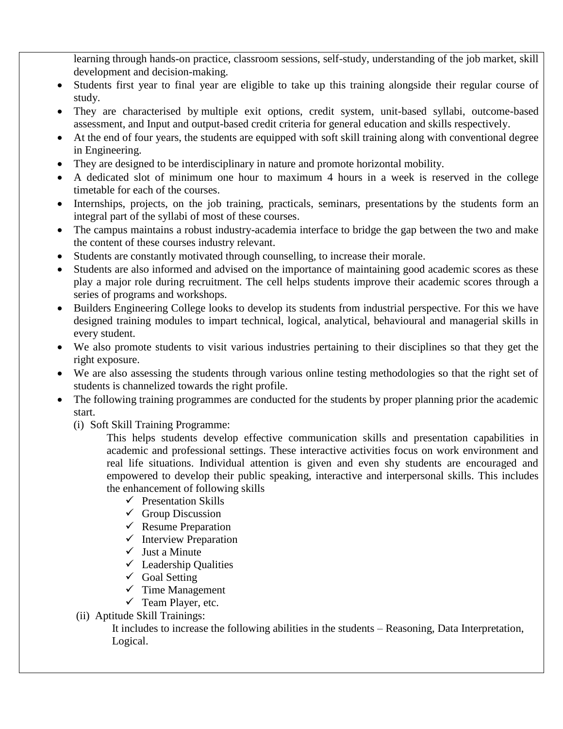learning through hands-on practice, classroom sessions, self-study, understanding of the job market, skill development and decision-making.

- Students first year to final year are eligible to take up this training alongside their regular course of study.
- They are characterised by multiple exit options, credit system, unit-based syllabi, outcome-based assessment, and Input and output-based credit criteria for general education and skills respectively.
- At the end of four years, the students are equipped with soft skill training along with conventional degree in Engineering.
- They are designed to be interdisciplinary in nature and promote horizontal mobility.
- A dedicated slot of minimum one hour to maximum 4 hours in a week is reserved in the college timetable for each of the courses.
- Internships, projects, on the job training, practicals, seminars, presentations by the students form an integral part of the syllabi of most of these courses.
- The campus maintains a robust industry-academia interface to bridge the gap between the two and make the content of these courses industry relevant.
- Students are constantly motivated through counselling, to increase their morale.
- Students are also informed and advised on the importance of maintaining good academic scores as these play a major role during recruitment. The cell helps students improve their academic scores through a series of programs and workshops.
- Builders Engineering College looks to develop its students from industrial perspective. For this we have designed training modules to impart technical, logical, analytical, behavioural and managerial skills in every student.
- We also promote students to visit various industries pertaining to their disciplines so that they get the right exposure.
- We are also assessing the students through various online testing methodologies so that the right set of students is channelized towards the right profile.
- The following training programmes are conducted for the students by proper planning prior the academic start.
	- (i) Soft Skill Training Programme:
		- This helps students develop effective communication skills and presentation capabilities in academic and professional settings. These interactive activities focus on work environment and real life situations. Individual attention is given and even shy students are encouraged and empowered to develop their public speaking, interactive and interpersonal skills. This includes the enhancement of following skills
			- $\checkmark$  Presentation Skills
			- $\checkmark$  Group Discussion
			- $\checkmark$  Resume Preparation
			- $\checkmark$  Interview Preparation
			- $\checkmark$  Just a Minute
			- $\checkmark$  Leadership Qualities
			- $\checkmark$  Goal Setting
			- $\checkmark$  Time Management
			- $\checkmark$  Team Player, etc.
	- (ii) Aptitude Skill Trainings:

 It includes to increase the following abilities in the students – Reasoning, Data Interpretation, Logical.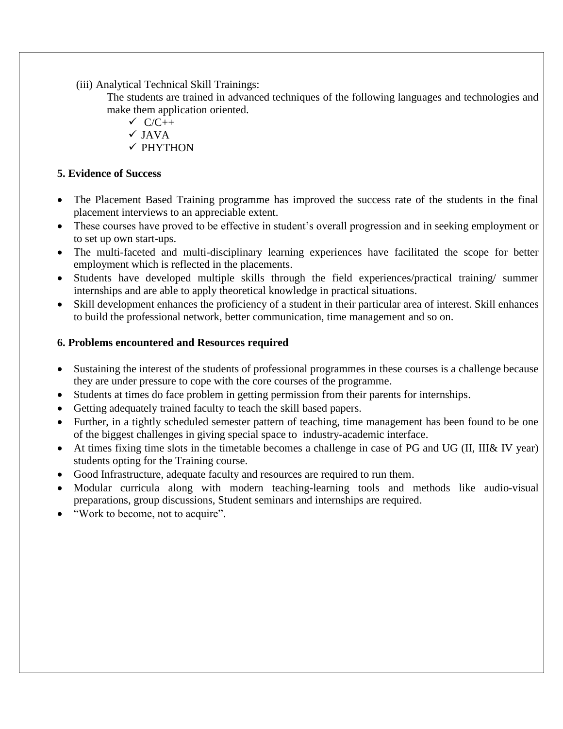(iii) Analytical Technical Skill Trainings:

The students are trained in advanced techniques of the following languages and technologies and make them application oriented.

- $\checkmark$  C/C++  $\checkmark$  JAVA
- **√ PHYTHON**

## **5. Evidence of Success**

- The Placement Based Training programme has improved the success rate of the students in the final placement interviews to an appreciable extent.
- These courses have proved to be effective in student's overall progression and in seeking employment or to set up own start-ups.
- The multi-faceted and multi-disciplinary learning experiences have facilitated the scope for better employment which is reflected in the placements.
- Students have developed multiple skills through the field experiences/practical training/ summer internships and are able to apply theoretical knowledge in practical situations.
- Skill development enhances the proficiency of a student in their particular area of interest. Skill enhances to build the professional network, better communication, time management and so on.

## **6. Problems encountered and Resources required**

- Sustaining the interest of the students of professional programmes in these courses is a challenge because they are under pressure to cope with the core courses of the programme.
- Students at times do face problem in getting permission from their parents for internships.
- Getting adequately trained faculty to teach the skill based papers.
- Further, in a tightly scheduled semester pattern of teaching, time management has been found to be one of the biggest challenges in giving special space to industry-academic interface.
- At times fixing time slots in the timetable becomes a challenge in case of PG and UG (II, III& IV year) students opting for the Training course.
- Good Infrastructure, adequate faculty and resources are required to run them.
- Modular curricula along with modern teaching-learning tools and methods like audio-visual preparations, group discussions, Student seminars and internships are required.
- "Work to become, not to acquire".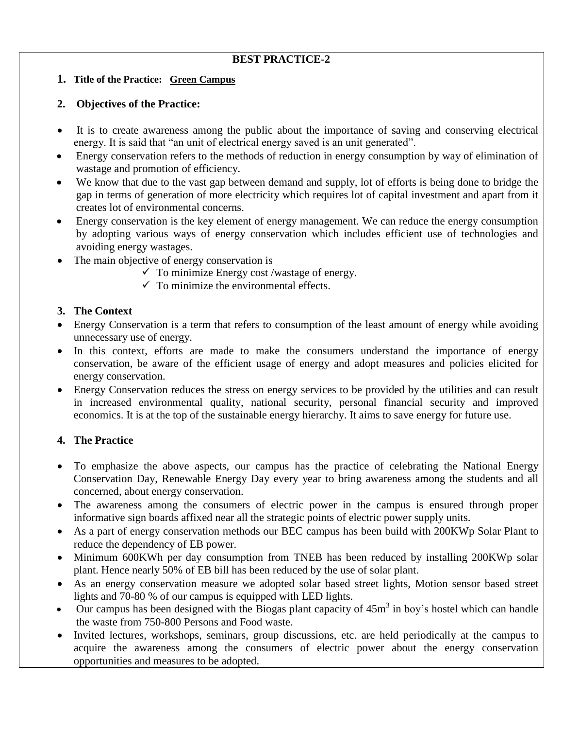## **BEST PRACTICE-2**

### **1. Title of the Practice: Green Campus**

### **2. Objectives of the Practice:**

- It is to create awareness among the public about the importance of saving and conserving electrical energy. It is said that "an unit of electrical energy saved is an unit generated".
- Energy conservation refers to the methods of reduction in energy consumption by way of elimination of wastage and promotion of efficiency.
- We know that due to the vast gap between demand and supply, lot of efforts is being done to bridge the gap in terms of generation of more electricity which requires lot of capital investment and apart from it creates lot of environmental concerns.
- Energy conservation is the key element of energy management. We can reduce the energy consumption by adopting various ways of energy conservation which includes efficient use of technologies and avoiding energy wastages.
- The main objective of energy conservation is
	- $\checkmark$  To minimize Energy cost /wastage of energy.
	- $\checkmark$  To minimize the environmental effects.

## **3. The Context**

- Energy Conservation is a term that refers to consumption of the least amount of energy while avoiding unnecessary use of energy.
- In this context, efforts are made to make the consumers understand the importance of energy conservation, be aware of the efficient usage of energy and adopt measures and policies elicited for energy conservation.
- Energy Conservation reduces the stress on energy services to be provided by the utilities and can result in increased environmental quality, national security, personal financial security and improved economics. It is at the top of the sustainable energy hierarchy. It aims to save energy for future use.

## **4. The Practice**

- To emphasize the above aspects, our campus has the practice of celebrating the National Energy Conservation Day, Renewable Energy Day every year to bring awareness among the students and all concerned, about energy conservation.
- The awareness among the consumers of electric power in the campus is ensured through proper informative sign boards affixed near all the strategic points of electric power supply units.
- As a part of energy conservation methods our BEC campus has been build with 200KWp Solar Plant to reduce the dependency of EB power.
- Minimum 600KWh per day consumption from TNEB has been reduced by installing 200KWp solar plant. Hence nearly 50% of EB bill has been reduced by the use of solar plant.
- As an energy conservation measure we adopted solar based street lights, Motion sensor based street lights and 70-80 % of our campus is equipped with LED lights.
- $\bullet$  Our campus has been designed with the Biogas plant capacity of 45 $\text{m}^3$  in boy's hostel which can handle the waste from 750-800 Persons and Food waste.
- Invited lectures, workshops, seminars, group discussions, etc. are held periodically at the campus to acquire the awareness among the consumers of electric power about the energy conservation opportunities and measures to be adopted.